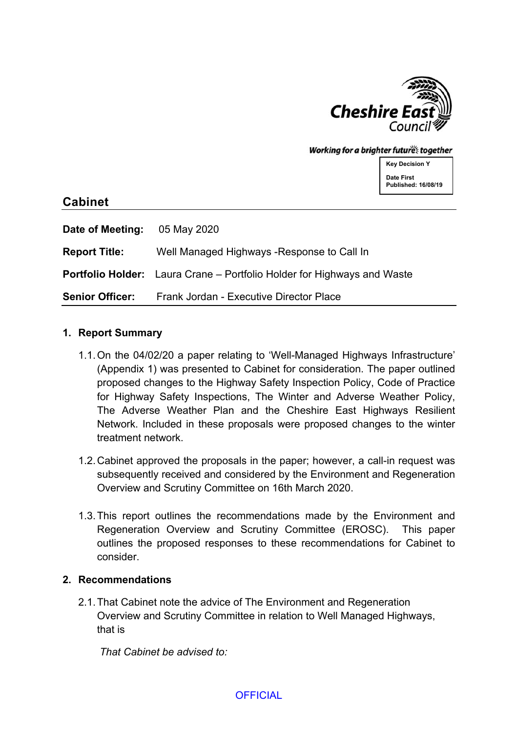

#### Working for a brighter futures together

**Key Decision Y Date First Published: 16/08/19**

# **Cabinet**

| Date of Meeting:       | 05 May 2020                                                                    |
|------------------------|--------------------------------------------------------------------------------|
| <b>Report Title:</b>   | Well Managed Highways - Response to Call In                                    |
|                        | <b>Portfolio Holder:</b> Laura Crane – Portfolio Holder for Highways and Waste |
| <b>Senior Officer:</b> | Frank Jordan - Executive Director Place                                        |

#### **1. Report Summary**

- 1.1.On the 04/02/20 a paper relating to 'Well-Managed Highways Infrastructure' (Appendix 1) was presented to Cabinet for consideration. The paper outlined proposed changes to the Highway Safety Inspection Policy, Code of Practice for Highway Safety Inspections, The Winter and Adverse Weather Policy, The Adverse Weather Plan and the Cheshire East Highways Resilient Network. Included in these proposals were proposed changes to the winter treatment network.
- 1.2.Cabinet approved the proposals in the paper; however, a call-in request was subsequently received and considered by the Environment and Regeneration Overview and Scrutiny Committee on 16th March 2020.
- 1.3.This report outlines the recommendations made by the Environment and Regeneration Overview and Scrutiny Committee (EROSC). This paper outlines the proposed responses to these recommendations for Cabinet to consider.

### **2. Recommendations**

2.1.That Cabinet note the advice of The Environment and Regeneration Overview and Scrutiny Committee in relation to Well Managed Highways, that is

*That Cabinet be advised to:*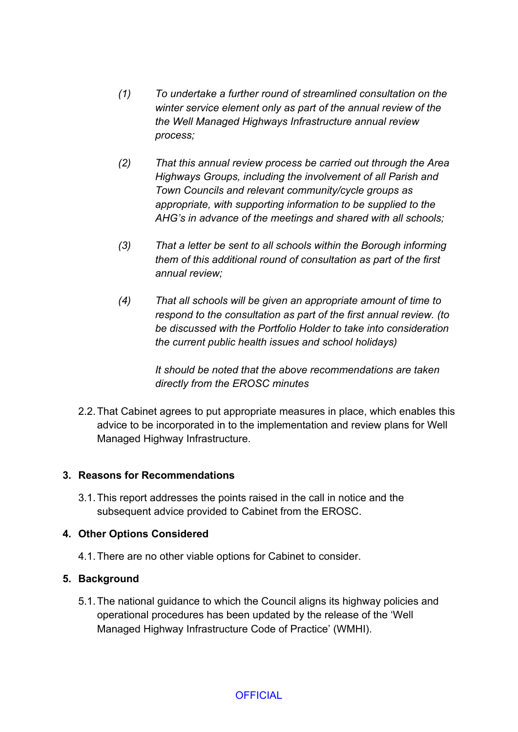- *(1) To undertake a further round of streamlined consultation on the winter service element only as part of the annual review of the the Well Managed Highways Infrastructure annual review process;*
- *(2) That this annual review process be carried out through the Area Highways Groups, including the involvement of all Parish and Town Councils and relevant community/cycle groups as appropriate, with supporting information to be supplied to the AHG's in advance of the meetings and shared with all schools;*
- *(3) That a letter be sent to all schools within the Borough informing them of this additional round of consultation as part of the first annual review;*
- *(4) That all schools will be given an appropriate amount of time to respond to the consultation as part of the first annual review. (to be discussed with the Portfolio Holder to take into consideration the current public health issues and school holidays)*

*It should be noted that the above recommendations are taken directly from the EROSC minutes*

2.2.That Cabinet agrees to put appropriate measures in place, which enables this advice to be incorporated in to the implementation and review plans for Well Managed Highway Infrastructure.

# **3. Reasons for Recommendations**

3.1.This report addresses the points raised in the call in notice and the subsequent advice provided to Cabinet from the EROSC.

### **4. Other Options Considered**

4.1.There are no other viable options for Cabinet to consider.

# **5. Background**

5.1.The national guidance to which the Council aligns its highway policies and operational procedures has been updated by the release of the 'Well Managed Highway Infrastructure Code of Practice' (WMHI).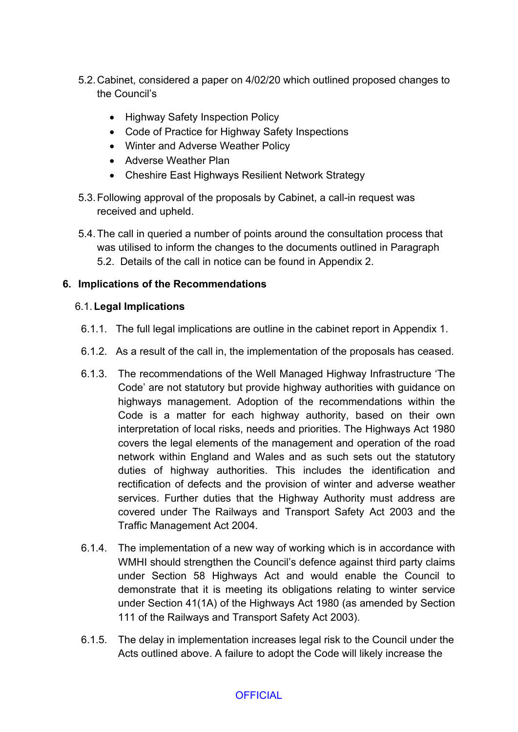- 5.2.Cabinet, considered a paper on 4/02/20 which outlined proposed changes to the Council's
	- Highway Safety Inspection Policy
	- Code of Practice for Highway Safety Inspections
	- Winter and Adverse Weather Policy
	- Adverse Weather Plan
	- Cheshire East Highways Resilient Network Strategy
- 5.3.Following approval of the proposals by Cabinet, a call-in request was received and upheld.
- 5.4.The call in queried a number of points around the consultation process that was utilised to inform the changes to the documents outlined in Paragraph 5.2. Details of the call in notice can be found in Appendix 2.

# **6. Implications of the Recommendations**

### 6.1.**Legal Implications**

- 6.1.1. The full legal implications are outline in the cabinet report in Appendix 1.
- 6.1.2. As a result of the call in, the implementation of the proposals has ceased.
- 6.1.3. The recommendations of the Well Managed Highway Infrastructure 'The Code' are not statutory but provide highway authorities with guidance on highways management. Adoption of the recommendations within the Code is a matter for each highway authority, based on their own interpretation of local risks, needs and priorities. The Highways Act 1980 covers the legal elements of the management and operation of the road network within England and Wales and as such sets out the statutory duties of highway authorities. This includes the identification and rectification of defects and the provision of winter and adverse weather services. Further duties that the Highway Authority must address are covered under The Railways and Transport Safety Act 2003 and the Traffic Management Act 2004.
- 6.1.4. The implementation of a new way of working which is in accordance with WMHI should strengthen the Council's defence against third party claims under Section 58 Highways Act and would enable the Council to demonstrate that it is meeting its obligations relating to winter service under Section 41(1A) of the Highways Act 1980 (as amended by Section 111 of the Railways and Transport Safety Act 2003).
- 6.1.5. The delay in implementation increases legal risk to the Council under the Acts outlined above. A failure to adopt the Code will likely increase the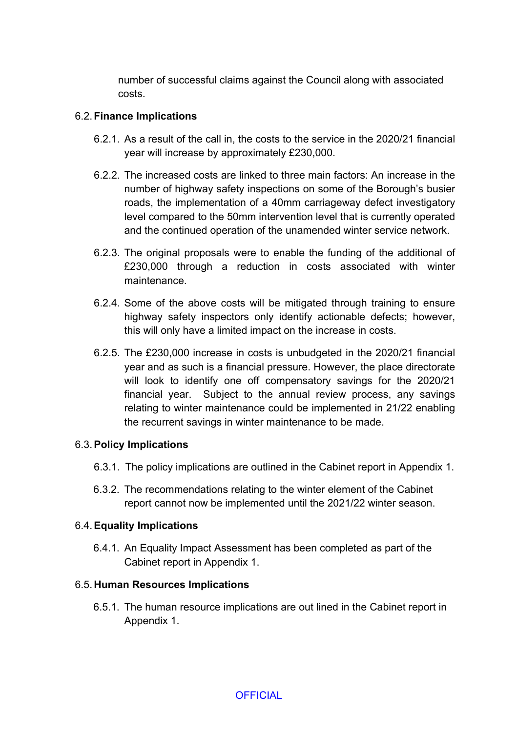number of successful claims against the Council along with associated costs.

### 6.2.**Finance Implications**

- 6.2.1. As a result of the call in, the costs to the service in the 2020/21 financial year will increase by approximately £230,000.
- 6.2.2. The increased costs are linked to three main factors: An increase in the number of highway safety inspections on some of the Borough's busier roads, the implementation of a 40mm carriageway defect investigatory level compared to the 50mm intervention level that is currently operated and the continued operation of the unamended winter service network.
- 6.2.3. The original proposals were to enable the funding of the additional of £230,000 through a reduction in costs associated with winter maintenance.
- 6.2.4. Some of the above costs will be mitigated through training to ensure highway safety inspectors only identify actionable defects; however, this will only have a limited impact on the increase in costs.
- 6.2.5. The £230,000 increase in costs is unbudgeted in the 2020/21 financial year and as such is a financial pressure. However, the place directorate will look to identify one off compensatory savings for the 2020/21 financial year. Subject to the annual review process, any savings relating to winter maintenance could be implemented in 21/22 enabling the recurrent savings in winter maintenance to be made.

### 6.3.**Policy Implications**

- 6.3.1. The policy implications are outlined in the Cabinet report in Appendix 1.
- 6.3.2. The recommendations relating to the winter element of the Cabinet report cannot now be implemented until the 2021/22 winter season.

### 6.4.**Equality Implications**

6.4.1. An Equality Impact Assessment has been completed as part of the Cabinet report in Appendix 1.

### 6.5. **Human Resources Implications**

6.5.1. The human resource implications are out lined in the Cabinet report in Appendix 1.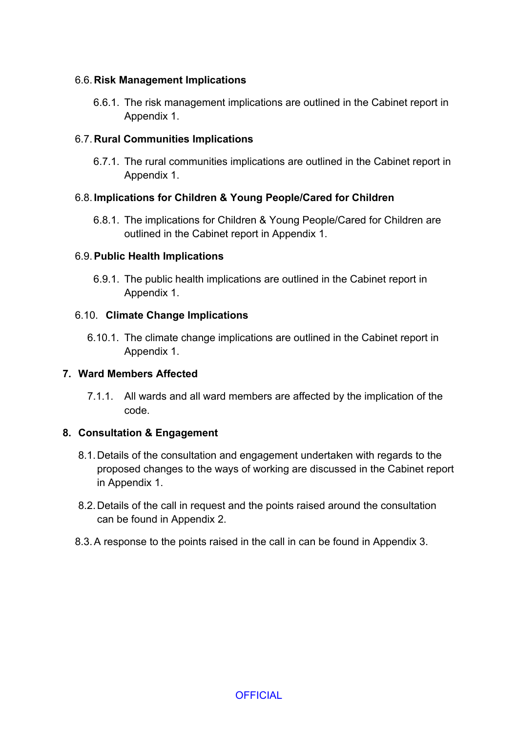### 6.6. **Risk Management Implications**

6.6.1. The risk management implications are outlined in the Cabinet report in Appendix 1.

### 6.7. **Rural Communities Implications**

6.7.1. The rural communities implications are outlined in the Cabinet report in Appendix 1.

# 6.8. **Implications for Children & Young People/Cared for Children**

6.8.1. The implications for Children & Young People/Cared for Children are outlined in the Cabinet report in Appendix 1.

### 6.9.**Public Health Implications**

6.9.1. The public health implications are outlined in the Cabinet report in Appendix 1.

### 6.10. **Climate Change Implications**

6.10.1. The climate change implications are outlined in the Cabinet report in Appendix 1.

### **7. Ward Members Affected**

7.1.1. All wards and all ward members are affected by the implication of the code.

# **8. Consultation & Engagement**

- 8.1.Details of the consultation and engagement undertaken with regards to the proposed changes to the ways of working are discussed in the Cabinet report in Appendix 1.
- 8.2.Details of the call in request and the points raised around the consultation can be found in Appendix 2.
- 8.3.A response to the points raised in the call in can be found in Appendix 3.